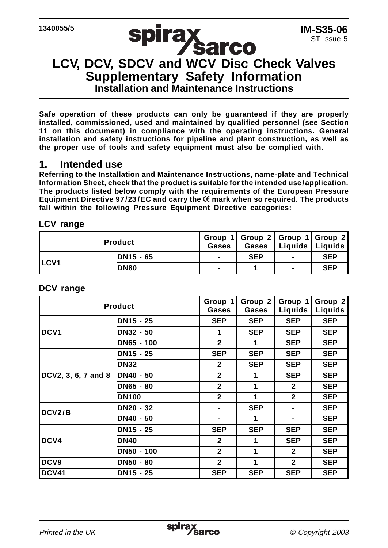# **SPITAX<br>LCV, DCV, SDCV and WCV Disc Check Valves Supplementary Safety Information Installation and Maintenance Instructions**

**Safe operation of these products can only be guaranteed if they are properly installed, commissioned, used and maintained by qualified personnel (see Section 11 on this document) in compliance with the operating instructions. General installation and safety instructions for pipeline and plant construction, as well as the proper use of tools and safety equipment must also be complied with.**

#### **1. Intended use**

**Referring to the Installation and Maintenance Instructions, name-plate and Technical Information Sheet, check that the product is suitable for the intended use/application. The products listed below comply with the requirements of the European Pressure** Equipment Directive 97/23/EC and carry the <sup>( $\xi$ </sup> mark when so required. The products **fall within the following Pressure Equipment Directive categories:**

#### **LCV range**

| <b>Product</b> |                       | Gases                    | Group 1 Group 2 Group 1 Group 2<br>Gases | Liquids   Liquids        |            |
|----------------|-----------------------|--------------------------|------------------------------------------|--------------------------|------------|
| <b>ILCV1</b>   | DN <sub>15</sub> - 65 | $\overline{\phantom{0}}$ | <b>SEP</b>                               | $\overline{\phantom{0}}$ | <b>SEP</b> |
|                | <b>DN80</b>           | -                        |                                          | -                        | <b>SEP</b> |

#### **DCV range**

| Product             |                  | Group 1<br>Gases | Group 2<br>Gases | Group 1<br>Liquids | Group 2<br>Liquids |
|---------------------|------------------|------------------|------------------|--------------------|--------------------|
| DCV <sub>1</sub>    | DN15 - 25        | <b>SEP</b>       | <b>SEP</b>       | <b>SEP</b>         | <b>SEP</b>         |
|                     | DN32 - 50        | 1                | <b>SEP</b>       | <b>SEP</b>         | <b>SEP</b>         |
|                     | DN65 - 100       | $\mathbf{2}$     | 1                | <b>SEP</b>         | <b>SEP</b>         |
| DCV2, 3, 6, 7 and 8 | DN15 - 25        | <b>SEP</b>       | <b>SEP</b>       | <b>SEP</b>         | <b>SEP</b>         |
|                     | <b>DN32</b>      | $\mathbf{2}$     | <b>SEP</b>       | <b>SEP</b>         | <b>SEP</b>         |
|                     | DN40 - 50        | $\mathbf{2}$     | 1                | <b>SEP</b>         | <b>SEP</b>         |
|                     | DN65 - 80        | $\mathbf{2}$     | 1                | $\mathbf{2}$       | <b>SEP</b>         |
|                     | <b>DN100</b>     | $\mathbf{2}$     | 1                | $\overline{2}$     | <b>SEP</b>         |
| DCV2/B              | DN20 - 32        |                  | <b>SEP</b>       |                    | <b>SEP</b>         |
|                     | DN40 - 50        | -                | 1                | $\blacksquare$     | <b>SEP</b>         |
| DCV4                | DN15 - 25        | <b>SEP</b>       | <b>SEP</b>       | <b>SEP</b>         | <b>SEP</b>         |
|                     | <b>DN40</b>      | $\mathbf{2}$     | 1                | <b>SEP</b>         | <b>SEP</b>         |
|                     | DN50 - 100       | $\mathbf{2}$     | 1                | $\mathbf{2}$       | <b>SEP</b>         |
| DCV <sub>9</sub>    | <b>DN50 - 80</b> | $\overline{2}$   | 1                | $\overline{2}$     | <b>SEP</b>         |
| <b>DCV41</b>        | DN15 - 25        | <b>SEP</b>       | <b>SEP</b>       | <b>SEP</b>         | <b>SEP</b>         |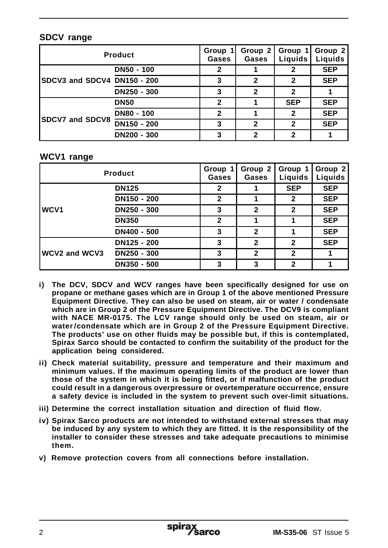#### **SDCV range**

| <b>Product</b>              |             | Group<br>Gases | Group 2<br>Gases | Group 1<br>Liguids | Group 2<br>Liquids |
|-----------------------------|-------------|----------------|------------------|--------------------|--------------------|
| SDCV3 and SDCV4 DN150 - 200 | DN50 - 100  | 2              |                  |                    | <b>SEP</b>         |
|                             |             |                | 2                |                    | <b>SEP</b>         |
|                             | DN250 - 300 |                | 2                | 2                  |                    |
| <b>ISDCV7 and SDCV8</b>     | <b>DN50</b> | 2              |                  | <b>SEP</b>         | <b>SEP</b>         |
|                             | DN80 - 100  | 2              |                  |                    | <b>SEP</b>         |
|                             | DN150 - 200 | з              | 2                | 2                  | <b>SEP</b>         |
|                             | DN200 - 300 |                | 2                |                    |                    |

#### **WCV1 range**

| <b>Product</b>   |              | Group 1<br>Gases | Group 2<br>Gases | Group 1<br>Liguids | Group 2<br>Liquids |
|------------------|--------------|------------------|------------------|--------------------|--------------------|
|                  | <b>DN125</b> | 2                |                  | <b>SEP</b>         | <b>SEP</b>         |
| WCV <sub>1</sub> | DN150 - 200  | 2                |                  | 2                  | <b>SEP</b>         |
|                  | DN250 - 300  | 3                | $\overline{2}$   | 2                  | <b>SEP</b>         |
|                  | <b>DN350</b> | $\mathbf{2}$     |                  |                    | <b>SEP</b>         |
|                  | DN400 - 500  | 3                | 2                |                    | <b>SEP</b>         |
| WCV2 and WCV3    | DN125 - 200  | 3                | $\overline{2}$   | 2                  | <b>SEP</b>         |
|                  | DN250 - 300  | 3                | 2                | 2                  |                    |
|                  | DN350 - 500  | 3                | 3                | 2                  |                    |

- **i) The DCV, SDCV and WCV ranges have been specifically designed for use on propane or methane gases which are in Group 1 of the above mentioned Pressure Equipment Directive. They can also be used on steam, air or water / condensate which are in Group 2 of the Pressure Equipment Directive. The DCV9 is compliant with NACE MR-0175. The LCV range should only be used on steam, air or water/condensate which are in Group 2 of the Pressure Equipment Directive. The products' use on other fluids may be possible but, if this is contemplated, Spirax Sarco should be contacted to confirm the suitability of the product for the application being considered.**
- **ii) Check material suitability, pressure and temperature and their maximum and minimum values. If the maximum operating limits of the product are lower than those of the system in which it is being fitted, or if malfunction of the product could result in a dangerous overpressure or overtemperature occurrence, ensure a safety device is included in the system to prevent such over-limit situations.**
- **iii) Determine the correct installation situation and direction of fluid flow.**
- **iv) Spirax Sarco products are not intended to withstand external stresses that may be induced by any system to which they are fitted. It is the responsibility of the installer to consider these stresses and take adequate precautions to minimise them.**
- **v) Remove protection covers from all connections before installation.**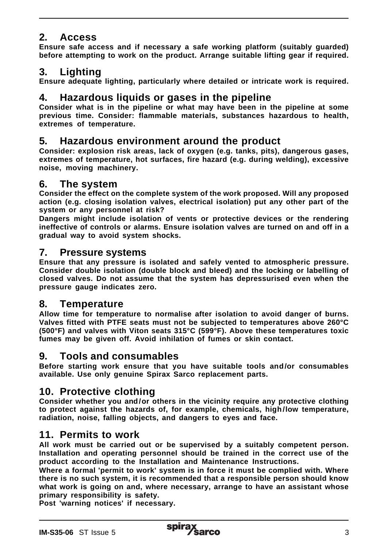# **2. Access**

**Ensure safe access and if necessary a safe working platform (suitably guarded) before attempting to work on the product. Arrange suitable lifting gear if required.**

# **3. Lighting**

**Ensure adequate lighting, particularly where detailed or intricate work is required.**

# **4. Hazardous liquids or gases in the pipeline**

**Consider what is in the pipeline or what may have been in the pipeline at some previous time. Consider: flammable materials, substances hazardous to health, extremes of temperature.**

# **5. Hazardous environment around the product**

**Consider: explosion risk areas, lack of oxygen (e.g. tanks, pits), dangerous gases, extremes of temperature, hot surfaces, fire hazard (e.g. during welding), excessive noise, moving machinery.**

### **6. The system**

**Consider the effect on the complete system of the work proposed. Will any proposed action (e.g. closing isolation valves, electrical isolation) put any other part of the system or any personnel at risk?**

**Dangers might include isolation of vents or protective devices or the rendering ineffective of controls or alarms. Ensure isolation valves are turned on and off in a gradual way to avoid system shocks.**

#### **7. Pressure systems**

**Ensure that any pressure is isolated and safely vented to atmospheric pressure. Consider double isolation (double block and bleed) and the locking or labelling of closed valves. Do not assume that the system has depressurised even when the pressure gauge indicates zero.**

### **8. Temperature**

**Allow time for temperature to normalise after isolation to avoid danger of burns. Valves fitted with PTFE seats must not be subjected to temperatures above 260°C (500°F) and valves with Viton seats 315°C (599°F). Above these temperatures toxic fumes may be given off. Avoid inhilation of fumes or skin contact.**

## **9. Tools and consumables**

**Before starting work ensure that you have suitable tools and/or consumables available. Use only genuine Spirax Sarco replacement parts.**

## **10. Protective clothing**

**Consider whether you and /or others in the vicinity require any protective clothing to protect against the hazards of, for example, chemicals, high/low temperature, radiation, noise, falling objects, and dangers to eyes and face.**

### **11. Permits to work**

**All work must be carried out or be supervised by a suitably competent person. Installation and operating personnel should be trained in the correct use of the product according to the Installation and Maintenance Instructions.**

**Where a formal 'permit to work' system is in force it must be complied with. Where there is no such system, it is recommended that a responsible person should know what work is going on and, where necessary, arrange to have an assistant whose primary responsibility is safety.**

**Post 'warning notices' if necessary.**